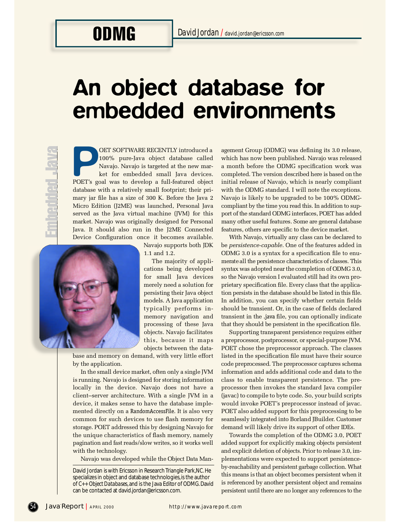# An object database for embedded environments

OET SOFTWARE RECENTLY introduced a<br>
100% pure-Java object database called<br>
Navajo. Navajo is targeted at the new mar-<br>
ket for embedded small Java devices.<br>
POET's goal was to develop a full-featured object OET SOFTWARE RECENTLY introduced a 100% pure-Java object database called Navajo. Navajo is targeted at the new market for embedded small Java devices. database with a relatively small footprint; their primary jar file has a size of 300 K. Before the Java 2 Micro Edition (J2ME) was launched, Personal Java served as the Java virtual machine (JVM) for this market. Navajo was originally designed for Personal Java. It should also run in the J2ME Connected Device Configuration once it becomes available.



Navajo supports both JDK 1.1 and 1.2.

The majority of applications being developed for small Java devices merely need a solution for persisting their Java object models. A Java application typically performs inmemory navigation and processing of these Java objects. Navajo facilitates this, because it maps objects between the data-

base and memory on demand, with very little effort by the application.

In the small device market, often only a single JVM is running. Navajo is designed for storing information locally in the device. Navajo does not have a client-server architecture. With a single JVM in a device, it makes sense to have the database implemented directly on a RandomAccessFile. It is also very common for such devices to use flash memory for storage. POET addressed this by designing Navajo for the unique characteristics of flash memory, namely pagination and fast reads/slow writes, so it works well with the technology.

Navajo was developed while the Object Data Man-

agement Group (ODMG) was defining its 3.0 release, which has now been published. Navajo was released a month before the ODMG specification work was completed. The version described here is based on the initial release of Navajo, which is nearly compliant with the ODMG standard. I will note the exceptions. Navajo is likely to be upgraded to be 100% ODMGcompliant by the time you read this. In addition to support of the standard ODMG interfaces, POET has added many other useful features. Some are general database features, others are specific to the device market.

With Navajo, virtually any class can be declared to be *persistence-capable*. One of the features added in ODMG 3.0 is a syntax for a specification file to enumerate all the persistence characteristics of classes. This syntax was adopted near the completion of ODMG 3.0, so the Navajo version I evaluated still had its own proprietary specification file. Every class that the application persists in the database should be listed in this file. In addition, you can specify whether certain fields should be transient. Or, in the case of fields declared transient in the .java file, you can optionally indicate that they should be persistent in the specification file.

Supporting transparent persistence requires either a preprocessor, postprocessor, or special-purpose JVM. POET chose the preprocessor approach. The classes listed in the specification file must have their source code preprocessed. The preprocessor captures schema information and adds additional code and data to the class to enable transparent persistence. The prep rocessor then invokes the standard Java compiler (javac) to compile to byte code. So, your build scripts would invoke POET's preprocessor instead of javac. POET also added support for this preprocessing to be seamlessly integrated into Borland JBuilder. Customer demand will likely drive its support of other IDEs.

Towards the completion of the ODMG 3.0, POET added support for explicitly making objects persistent and explicit deletion of objects. Prior to release 3.0, implementations were expected to support persistenceby-reachability and persistent garbage collection. What this means is that an object becomes persistent when it is referenced by another persistent object and remains persistent until there are no longer any references to the

David Jordan is with Ericsson in Research Triangle Park, NC. He specializes in object and database technologies, is the author of  $C_{++}$  *Object Databases*, and is the Java Editor of ODMG. David can be contacted at david.jordan@ericsson.com.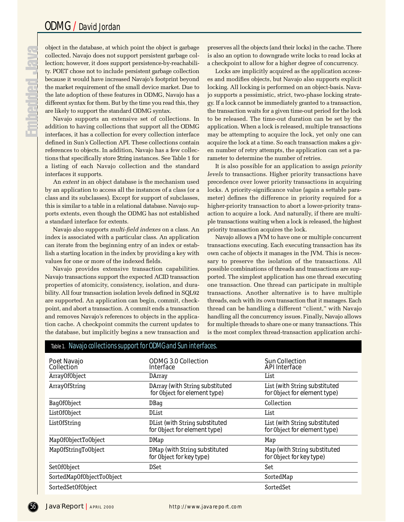**Deninen** 

object in the database, at which point the object is garbage collected. Navajo does not support persistent garbage collection; however, it does support persistence-by-reachability. POET chose not to include persistent garbage collection because it would have increased Navajo's footprint beyond the market requirement of the small device market. Due to the late adoption of these features in ODMG, Navajo has a different syntax for them. But by the time you read this, they are likely to support the standard ODMG syntax.

Navajo supports an extensive set of collections. In addition to having collections that support all the ODMG interfaces, it has a collection for every collection interface defined in Sun's Collection API. These collections contain references to objects. In addition, Navajo has a few collections that specifically store String instances. See Table 1 for a listing of each Navajo collection and the standard interfaces it supports.

An *extent* in an object database is the mechanism used by an application to access all the instances of a class (or a class and its subclasses). Except for support of subclasses, this is similar to a table in a relational database. Navajo supports extents, even though the ODMG has not established a standard interface for extents.

Navajo also supports *multi-field indexes* on a class. An index is associated with a particular class. An application can iterate from the beginning entry of an index or establish a starting location in the index by providing a key with values for one or more of the indexed fields.

Navajo provides extensive transaction capabilities. Navajo transactions support the expected ACID transaction properties of atomicity, consistency, isolation, and durability. All four transaction isolation levels defined in SQL92 are supported. An application can begin, commit, checkpoint, and abort a transaction. A commit ends a transaction and removes Navajo's references to objects in the application cache. A checkpoint commits the current updates to the database, but implicitly begins a new transaction and preserves all the objects (and their locks) in the cache. There is also an option to downgrade write locks to read locks at a checkpoint to allow for a higher degree of concurrency.

Locks are implicitly acquired as the application accesses and modifies objects, but Navajo also supports explicit locking. All locking is performed on an object-basis. Navajo supports a pessimistic, strict, two-phase locking strategy. If a lock cannot be immediately granted to a transaction, the transaction waits for a given time-out period for the lock to be released. The time-out duration can be set by the application. When a lock is released, multiple transactions may be attempting to acquire the lock, yet only one can acquire the lock at a time. So each transaction makes a given number of retry attempts, the application can set a parameter to determine the number of retries.

It is also possible for an application to assign *priority levels* to transactions. Higher priority transactions have precedence over lower priority transactions in acquiring locks. A priority-significance value (again a settable parameter) defines the difference in priority required for a higher-priority transaction to abort a lower-priority transaction to acquire a lock. And naturally, if there are multiple transactions waiting when a lock is released, the highest priority transaction acquires the lock.

Navajo allows a JVM to have one or multiple concurrent transactions executing. Each executing transaction has its own cache of objects it manages in the JVM. This is necessary to preserve the isolation of the transactions. All possible combinations of threads and transactions are supported. The simplest application has one thread executing one transaction. One thread can participate in multiple transactions. Another alternative is to have multiple threads, each with its own transaction that it manages. Each thread can be handling a different "client," with Navajo handling all the concurrency issues. Finally, Navajo allows for multiple threads to share one or many transactions. This is the most complex thread-transaction application archi-

| labic 1. Teavalo concettoris support for Obimo and suit interfaces. |                                                                 |                                                               |
|---------------------------------------------------------------------|-----------------------------------------------------------------|---------------------------------------------------------------|
| Poet Navajo<br>Collection                                           | <b>ODMG 3.0 Collection</b><br>Interface                         | <b>Sun Collection</b><br><b>API Interface</b>                 |
| Array0f0bject                                                       | DArray                                                          | List                                                          |
| Array0fString                                                       | DArray (with String substituted<br>for Object for element type) | List (with String substituted<br>for Object for element type) |
| Baq0f0bject                                                         | <b>DBaq</b>                                                     | Collection                                                    |
| List0f0bject                                                        | DList                                                           | List                                                          |
| List0fString                                                        | DList (with String substituted<br>for Object for element type)  | List (with String substituted<br>for Object for element type) |
| Map0f0bjectTo0bject                                                 | DMap                                                            | Map                                                           |
| Map0fStringTo0bject                                                 | DMap (with String substituted<br>for Object for key type)       | Map (with String substituted<br>for Object for key type)      |
| Set0f0bject                                                         | <b>DSet</b>                                                     | Set                                                           |
| SortedMap0f0bjectTo0bject                                           |                                                                 | SortedMap                                                     |
| SortedSet0f0bject                                                   |                                                                 | SortedSet                                                     |

### Navajo collections support for ODMG and Sun interfa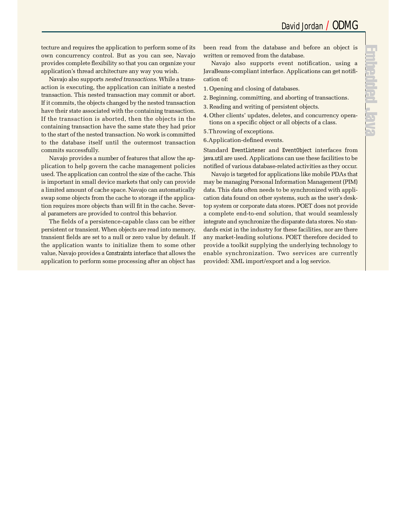tecture and requires the application to perform some of its own concurrency control. But as you can see, Navajo p rovides complete flexibility so that you can organize your application's thread architecture any way you wish.

Navajo also supports *nested transactions*. While a transaction is executing, the application can initiate a nested transaction. This nested transaction may commit or abort. If it commits, the objects changed by the nested transaction have their state associated with the containing transaction. If the transaction is aborted, then the objects in the containing transaction have the same state they had prior to the start of the nested transaction. No work is committed to the database itself until the outermost transaction commits successfully.

Navajo provides a number of features that allow the application to help govern the cache management policies used. The application can control the size of the cache. This is important in small device markets that only can provide a limited amount of cache space. Navajo can automatically swap some objects from the cache to storage if the application requires more objects than will fit in the cache. Several parameters are provided to control this behavior.

The fields of a persistence-capable class can be either persistent or transient. When objects are read into memory, transient fields are set to a null or zero value by default. If the application wants to initialize them to some other value, Navajo provides a Constraints interface that allows the application to perform some processing after an object has been read from the database and before an object is written or removed from the database.

Navajo also supports event notification, using a JavaBeans-compliant interface. Applications can get notification of:

- 1 . Opening and closing of databases.
- 2 .Beginning, committing, and aborting of transactions.
- 3 . Reading and writing of persistent objects.
- 4 . Other clients' updates, deletes, and concurrency operations on a specific object or all objects of a class.
- 5. Throwing of exceptions.

6. Application-defined events.

Standard EventListener and EventObject interfaces from java.util are used. Applications can use these facilities to be notified of various database-related activities as they occur.

Navajo is targeted for applications like mobile PDAs that may be managing Personal Information Management (PIM) data. This data often needs to be synchronized with application data found on other systems, such as the user's desktop system or corporate data stores. POET does not provide a complete end-to-end solution, that would seamlessly integrate and synchronize the disparate data stores. No standards exist in the industry for these facilities, nor are there any market-leading solutions. POET therefore decided to p rovide a toolkit supplying the underlying technology to enable synchronization. Two services are currently provided: XML import/export and a log service.